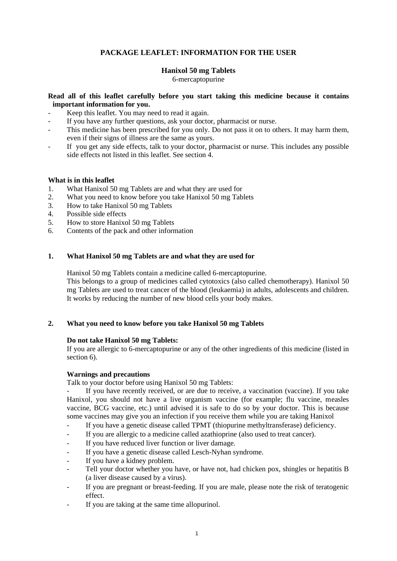# **PACKAGE LEAFLET: INFORMATION FOR THE USER**

# **Hanixol 50 mg Tablets**

6-mercaptopurine

## **Read all of this leaflet carefully before you start taking this medicine because it contains important information for you.**

- Keep this leaflet. You may need to read it again.
- If you have any further questions, ask your doctor, pharmacist or nurse.
- This medicine has been prescribed for you only. Do not pass it on to others. It may harm them, even if their signs of illness are the same as yours.
- If you get any side effects, talk to your doctor, pharmacist or nurse. This includes any possible side effects not listed in this leaflet. See section 4.

## **What is in this leaflet**

- 1. What Hanixol 50 mg Tablets are and what they are used for
- 2. What you need to know before you take Hanixol 50 mg Tablets<br>3. How to take Hanixol 50 mg Tablets
- 3. How to take Hanixol 50 mg Tablets
- 4. Possible side effects
- 5. How to store Hanixol 50 mg Tablets
- 6. Contents of the pack and other information

# **1. What Hanixol 50 mg Tablets are and what they are used for**

Hanixol 50 mg Tablets contain a medicine called 6-mercaptopurine. This belongs to a group of medicines called cytotoxics (also called chemotherapy). Hanixol 50 mg Tablets are used to treat cancer of the blood (leukaemia) in adults, adolescents and children. It works by reducing the number of new blood cells your body makes.

## **2. What you need to know before you take Hanixol 50 mg Tablets**

## **Do not take Hanixol 50 mg Tablets:**

If you are allergic to 6-mercaptopurine or any of the other ingredients of this medicine (listed in section 6).

## **Warnings and precautions**

Talk to your doctor before using Hanixol 50 mg Tablets:

If you have recently received, or are due to receive, a vaccination (vaccine). If you take Hanixol, you should not have a live organism vaccine (for example; flu vaccine, measles vaccine, BCG vaccine, etc.) until advised it is safe to do so by your doctor. This is because some vaccines may give you an infection if you receive them while you are taking Hanixol

- If you have a genetic disease called TPMT (thiopurine methyltransferase) deficiency.
- If you are allergic to a medicine called azathioprine (also used to treat cancer).
- If you have reduced liver function or liver damage.
- If you have a genetic disease called Lesch-Nyhan syndrome.
- If you have a kidney problem.
- Tell your doctor whether you have, or have not, had chicken pox, shingles or hepatitis B (a liver disease caused by a virus).
- If you are pregnant or breast-feeding. If you are male, please note the risk of teratogenic effect.
- If you are taking at the same time allopurinol.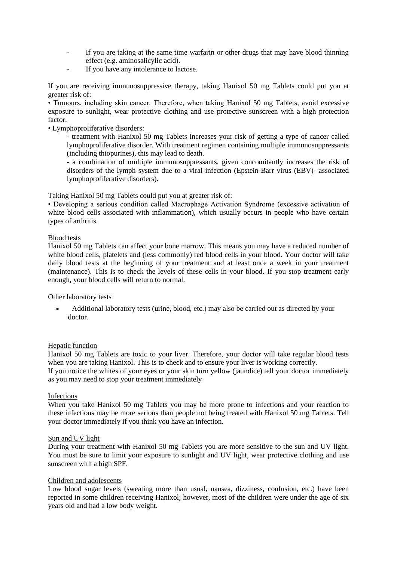- If you are taking at the same time warfarin or other drugs that may have blood thinning effect (e.g. aminosalicylic acid).
- If you have any intolerance to lactose.

If you are receiving immunosuppressive therapy, taking Hanixol 50 mg Tablets could put you at greater risk of:

• Tumours, including skin cancer. Therefore, when taking Hanixol 50 mg Tablets, avoid excessive exposure to sunlight, wear protective clothing and use protective sunscreen with a high protection factor.

• Lymphoproliferative disorders:

- treatment with Hanixol 50 mg Tablets increases your risk of getting a type of cancer called lymphoproliferative disorder. With treatment regimen containing multiple immunosuppressants (including thiopurines), this may lead to death.

- a combination of multiple immunosuppressants, given concomitantly increases the risk of disorders of the lymph system due to a viral infection (Epstein-Barr virus (EBV)- associated lymphoproliferative disorders).

Taking Hanixol 50 mg Tablets could put you at greater risk of:

• Developing a serious condition called Macrophage Activation Syndrome (excessive activation of white blood cells associated with inflammation), which usually occurs in people who have certain types of arthritis.

#### Blood tests

Hanixol 50 mg Tablets can affect your bone marrow. This means you may have a reduced number of white blood cells, platelets and (less commonly) red blood cells in your blood. Your doctor will take daily blood tests at the beginning of your treatment and at least once a week in your treatment (maintenance). This is to check the levels of these cells in your blood. If you stop treatment early enough, your blood cells will return to normal.

Other laboratory tests

• Additional laboratory tests (urine, blood, etc.) may also be carried out as directed by your doctor.

#### Hepatic function

Hanixol 50 mg Tablets are toxic to your liver. Therefore, your doctor will take regular blood tests when you are taking Hanixol. This is to check and to ensure your liver is working correctly. If you notice the whites of your eyes or your skin turn yellow (jaundice) tell your doctor immediately as you may need to stop your treatment immediately

#### Infections

When you take Hanixol 50 mg Tablets you may be more prone to infections and your reaction to these infections may be more serious than people not being treated with Hanixol 50 mg Tablets. Tell your doctor immediately if you think you have an infection.

#### Sun and UV light

During your treatment with Hanixol 50 mg Tablets you are more sensitive to the sun and UV light. You must be sure to limit your exposure to sunlight and UV light, wear protective clothing and use sunscreen with a high SPF.

#### Children and adolescents

Low blood sugar levels (sweating more than usual, nausea, dizziness, confusion, etc.) have been reported in some children receiving Hanixol; however, most of the children were under the age of six years old and had a low body weight.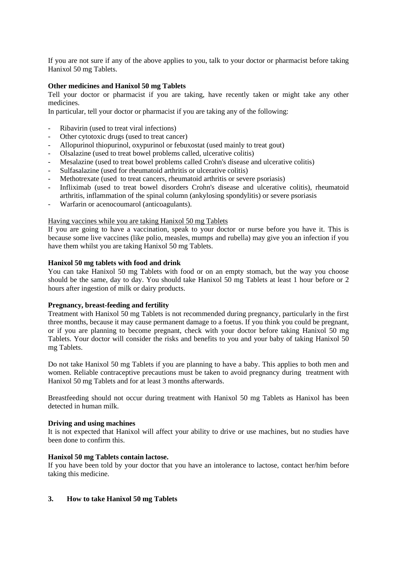If you are not sure if any of the above applies to you, talk to your doctor or pharmacist before taking Hanixol 50 mg Tablets.

## **Other medicines and Hanixol 50 mg Tablets**

Tell your doctor or pharmacist if you are taking, have recently taken or might take any other medicines.

In particular, tell your doctor or pharmacist if you are taking any of the following:

- Ribavirin (used to treat viral infections)
- Other cytotoxic drugs (used to treat cancer)
- Allopurinol thiopurinol, oxypurinol or febuxostat (used mainly to treat gout)
- Olsalazine (used to treat bowel problems called, ulcerative colitis)
- Mesalazine (used to treat bowel problems called Crohn's disease and ulcerative colitis)
- Sulfasalazine (used for rheumatoid arthritis or ulcerative colitis)
- Methotrexate (used to treat cancers, rheumatoid arthritis or severe psoriasis)
- Infliximab (used to treat bowel disorders Crohn's disease and ulcerative colitis), rheumatoid arthritis, inflammation of the spinal column (ankylosing spondylitis) or severe psoriasis
- Warfarin or acenocoumarol (anticoagulants).

#### Having vaccines while you are taking Hanixol 50 mg Tablets

If you are going to have a vaccination, speak to your doctor or nurse before you have it. This is because some live vaccines (like polio, measles, mumps and rubella) may give you an infection if you have them whilst you are taking Hanixol 50 mg Tablets.

#### **Hanixol 50 mg tablets with food and drink**

You can take Hanixol 50 mg Tablets with food or on an empty stomach, but the way you choose should be the same, day to day. You should take Hanixol 50 mg Tablets at least 1 hour before or 2 hours after ingestion of milk or dairy products.

## **Pregnancy, breast-feeding and fertility**

Treatment with Hanixol 50 mg Tablets is not recommended during pregnancy, particularly in the first three months, because it may cause permanent damage to a foetus. If you think you could be pregnant, or if you are planning to become pregnant, check with your doctor before taking Hanixol 50 mg Tablets. Your doctor will consider the risks and benefits to you and your baby of taking Hanixol 50 mg Tablets.

Do not take Hanixol 50 mg Tablets if you are planning to have a baby. This applies to both men and women. Reliable contraceptive precautions must be taken to avoid pregnancy during treatment with Hanixol 50 mg Tablets and for at least 3 months afterwards.

Breastfeeding should not occur during treatment with Hanixol 50 mg Tablets as Hanixol has been detected in human milk.

## **Driving and using machines**

It is not expected that Hanixol will affect your ability to drive or use machines, but no studies have been done to confirm this.

## **Hanixol 50 mg Tablets contain lactose.**

If you have been told by your doctor that you have an intolerance to lactose, contact her/him before taking this medicine.

## **3. How to take Hanixol 50 mg Tablets**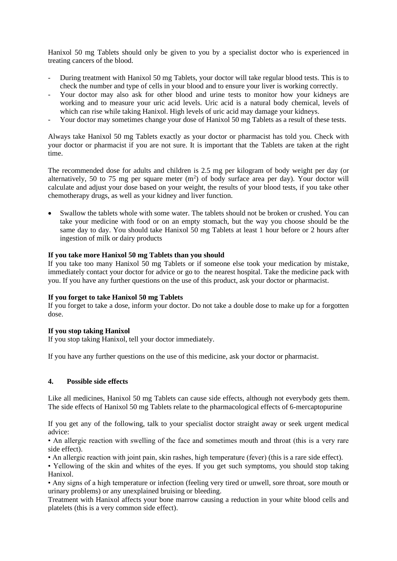Hanixol 50 mg Tablets should only be given to you by a specialist doctor who is experienced in treating cancers of the blood.

- During treatment with Hanixol 50 mg Tablets, your doctor will take regular blood tests. This is to check the number and type of cells in your blood and to ensure your liver is working correctly.
- Your doctor may also ask for other blood and urine tests to monitor how your kidneys are working and to measure your uric acid levels. Uric acid is a natural body chemical, levels of which can rise while taking Hanixol. High levels of uric acid may damage your kidneys.
- Your doctor may sometimes change your dose of Hanixol 50 mg Tablets as a result of these tests.

Always take Hanixol 50 mg Tablets exactly as your doctor or pharmacist has told you. Check with your doctor or pharmacist if you are not sure. It is important that the Tablets are taken at the right time.

The recommended dose for adults and children is 2.5 mg per kilogram of body weight per day (or alternatively, 50 to 75 mg per square meter  $(m<sup>2</sup>)$  of body surface area per day). Your doctor will calculate and adjust your dose based on your weight, the results of your blood tests, if you take other chemotherapy drugs, as well as your kidney and liver function.

• Swallow the tablets whole with some water. The tablets should not be broken or crushed. You can take your medicine with food or on an empty stomach, but the way you choose should be the same day to day. You should take Hanixol 50 mg Tablets at least 1 hour before or 2 hours after ingestion of milk or dairy products

## **If you take more Hanixol 50 mg Tablets than you should**

If you take too many Hanixol 50 mg Tablets or if someone else took your medication by mistake, immediately contact your doctor for advice or go to the nearest hospital. Take the medicine pack with you. If you have any further questions on the use of this product, ask your doctor or pharmacist.

## **If you forget to take Hanixol 50 mg Tablets**

If you forget to take a dose, inform your doctor. Do not take a double dose to make up for a forgotten dose.

## **If you stop taking Hanixol**

If you stop taking Hanixol, tell your doctor immediately.

If you have any further questions on the use of this medicine, ask your doctor or pharmacist.

## **4. Possible side effects**

Like all medicines, Hanixol 50 mg Tablets can cause side effects, although not everybody gets them. The side effects of Hanixol 50 mg Tablets relate to the pharmacological effects of 6-mercaptopurine

If you get any of the following, talk to your specialist doctor straight away or seek urgent medical advice:

• An allergic reaction with swelling of the face and sometimes mouth and throat (this is a very rare side effect).

• An allergic reaction with joint pain, skin rashes, high temperature (fever) (this is a rare side effect).

• Yellowing of the skin and whites of the eyes. If you get such symptoms, you should stop taking Hanixol.

• Any signs of a high temperature or infection (feeling very tired or unwell, sore throat, sore mouth or urinary problems) or any unexplained bruising or bleeding.

Treatment with Hanixol affects your bone marrow causing a reduction in your white blood cells and platelets (this is a very common side effect).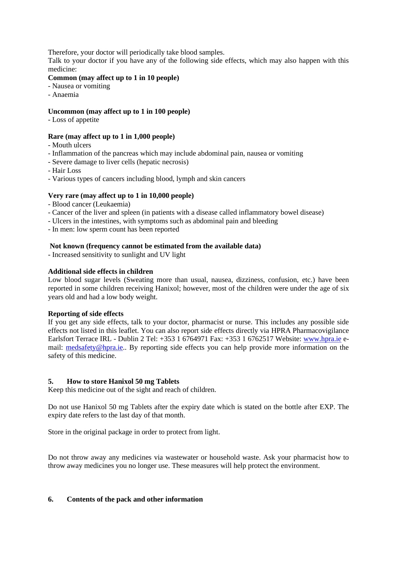Therefore, your doctor will periodically take blood samples.

Talk to your doctor if you have any of the following side effects, which may also happen with this medicine:

# **Common (may affect up to 1 in 10 people)**

- Nausea or vomiting
- Anaemia

## **Uncommon (may affect up to 1 in 100 people)**

- Loss of appetite

## **Rare (may affect up to 1 in 1,000 people)**

- Mouth ulcers
- Inflammation of the pancreas which may include abdominal pain, nausea or vomiting
- Severe damage to liver cells (hepatic necrosis)
- Hair Loss
- Various types of cancers including blood, lymph and skin cancers

# **Very rare (may affect up to 1 in 10,000 people)**

- Blood cancer (Leukaemia)
- Cancer of the liver and spleen (in patients with a disease called inflammatory bowel disease)
- Ulcers in the intestines, with symptoms such as abdominal pain and bleeding
- In men: low sperm count has been reported

# **Not known (frequency cannot be estimated from the available data)**

- Increased sensitivity to sunlight and UV light

# **Additional side effects in children**

Low blood sugar levels (Sweating more than usual, nausea, dizziness, confusion, etc.) have been reported in some children receiving Hanixol; however, most of the children were under the age of six years old and had a low body weight.

## **Reporting of side effects**

If you get any side effects, talk to your doctor, pharmacist or nurse. This includes any possible side effects not listed in this leaflet. You can also report side effects directly via HPRA Pharmacovigilance Earlsfort Terrace IRL - Dublin 2 Tel: +353 1 6764971 Fax: +353 1 6762517 Website: www.hpra.ie email: medsafety@hpra.ie.. By reporting side effects you can help provide more information on the safety of this medicine.

## **5. How to store Hanixol 50 mg Tablets**

Keep this medicine out of the sight and reach of children.

Do not use Hanixol 50 mg Tablets after the expiry date which is stated on the bottle after EXP. The expiry date refers to the last day of that month.

Store in the original package in order to protect from light.

Do not throw away any medicines via wastewater or household waste. Ask your pharmacist how to throw away medicines you no longer use. These measures will help protect the environment.

## **6. Contents of the pack and other information**